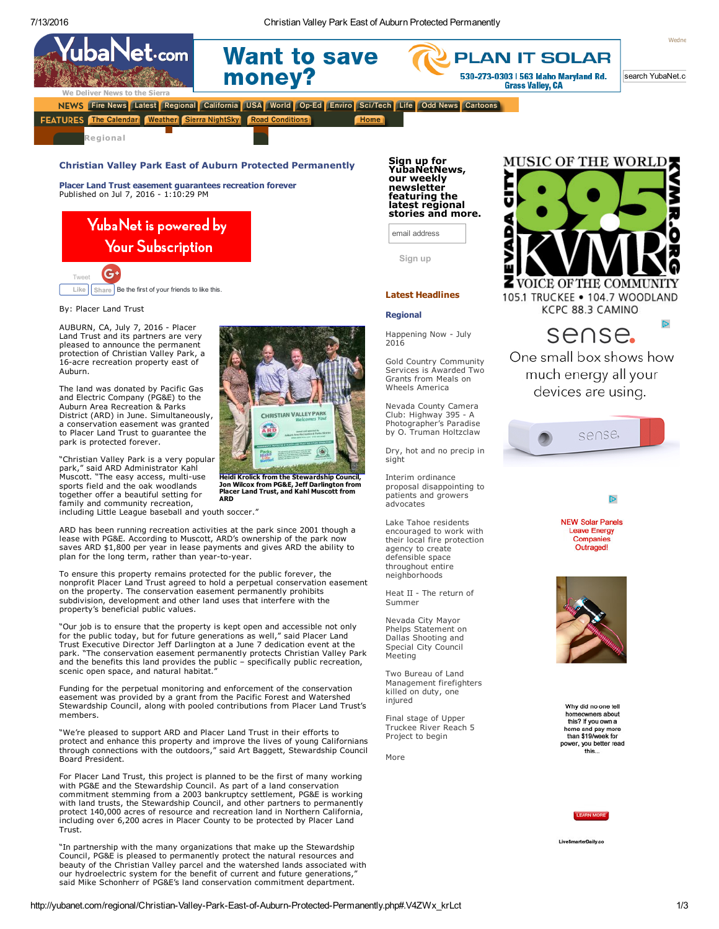Home



search YubaNet.c

We Deliver News to the Sierra NEWS Fire News Latest Regional California USA World Op-Ed Enviro Sci/Tech Life Odd News Cartoons

money?

**Want to save** 

**FEATURES** The Calendar Weather Sierra NightSky Road Conditions

 $\mathsf{Net} \cdot \mathsf{com}$ 

Berger Halley

Regional

## Christian Valley Park East of Auburn Protected Permanently

Placer Land Trust easement guarantees recreation forever Published on Jul 7, 2016 - 1:10:29 PM

# YubaNet is powered by **Your Subscription**



By: Placer Land Trust

AUBURN, CA, July 7, 2016 - Placer Land Trust and its partners are very pleased to announce the permanent protection of Christian Valley Park, a 16-acre recreation property east of Auburn.

The land was donated by Pacific Gas and Electric Company (PG&E) to the Auburn Area Recreation & Parks District (ARD) in June. Simultaneously, a conservation easement was granted to Placer Land Trust to guarantee the park is protected forever.

"Christian Valley Park is a very popular park," said ARD Administrator Kahl Muscott. "The easy access, multi-use sports field and the oak woodlands together offer a beautiful setting for family and community recreation, including Little League baseball and youth soccer."



Heidi Krolick from the [Stewardship](http://yubanet.com/uploads/7/Project_Partners.jpg) Council, Jon Wilcox from PG&E, Jeff Darlington from Placer Land Trust, and Kahl Muscott from ARD

ARD has been running recreation activities at the park since 2001 though a lease with PG&E. According to Muscott, ARD's ownership of the park now saves ARD \$1,800 per year in lease payments and gives ARD the ability to plan for the long term, rather than year-to-year.

To ensure this property remains protected for the public forever, the nonprofit Placer Land Trust agreed to hold a perpetual conservation easement on the property. The conservation easement permanently prohibits subdivision, development and other land uses that interfere with the property's beneficial public values.

"Our job is to ensure that the property is kept open and accessible not only for the public today, but for future generations as well," said Placer Land Trust Executive Director Jeff Darlington at a June 7 dedication event at the park. "The conservation easement permanently protects Christian Valley Park and the benefits this land provides the public – specifically public recreation, scenic open space, and natural habitat.

Funding for the perpetual monitoring and enforcement of the conservation easement was provided by a grant from the Pacific Forest and Watershed Stewardship Council, along with pooled contributions from Placer Land Trust's members.

"We're pleased to support ARD and Placer Land Trust in their efforts to protect and enhance this property and improve the lives of young Californians through connections with the outdoors," said Art Baggett, Stewardship Council Board President.

For Placer Land Trust, this project is planned to be the first of many working with PG&E and the Stewardship Council. As part of a land conservation commitment stemming from a 2003 bankruptcy settlement, PG&E is working with land trusts, the Stewardship Council, and other partners to permanently protect 140,000 acres of resource and recreation land in Northern California, including over 6,200 acres in Placer County to be protected by Placer Land Trust.

"In partnership with the many organizations that make up the Stewardship Council, PG&E is pleased to permanently protect the natural resources and beauty of the Christian Valley parcel and the watershed lands associated with our hydroelectric system for the benefit of current and future generations, said Mike Schonherr of PG&E's land conservation commitment department.

Sign up for<br>YubaNetNews,<br>our weekly newsletter featuring the latest regional stories and more. email address

Sign up

## Latest Headlines

#### **Regional**

[Happening](http://yubanet.com/regional/Now.php) Now - July 2016

Gold Country [Community](http://yubanet.com/regional/Gold-Country-Community-Services-is-Awarded-Two-Grants-from-Meals-on-Wheels-America.php) Services is Awarded Two Grants from Meals on Wheels America

Nevada County Camera Club: Highway 395 - A [Photographer's](http://yubanet.com/regional/Nevada-County-Camera-Club-Highway-395---A-Photographer-s-Paradise-by-O-Truman-Holtzclaw.php) Paradise by O. Truman Holtzclaw

Dry, hot and no [precip](http://yubanet.com/regional/Dry-hot-and-no-precip-in-sight.php) in sight

Interim ordinance proposal [disappointing](http://yubanet.com/regional/Interim-ordinance-proposal-disappointing-to-patients-and-growers-advocates.php) to patients and growers advocates

Lake Tahoe residents encouraged to work with their local fire protection agency to create defensible space throughout entire [neighborhoods](http://yubanet.com/regional/Lake-Tahoe-residents-encouraged-to-work-with-their-local-fire-protection-agency-to-create-defensible-space-throughout-entire-neighborhoods.php)

Heat II - The return of [Summer](http://yubanet.com/regional/Heat-II---The-return-of-Summer.php)

Nevada City Mayor Phelps [Statement](http://yubanet.com/regional/Nevada-City-Mayor-Phelps-Statement-on-Dallas-Shooting-and-Special-City-Council-Meeting.php) on Dallas Shooting and Special City Council Meeting

Two Bureau of Land [Management](http://yubanet.com/regional/Two-Bureau-of-Land-Management-firefighters-killed-on-duty-one-injured.php) firefighters killed on duty, one injured

Final stage of Upper [Truckee](http://yubanet.com/regional/Final-stage-of-Upper-Truckee-River-Reach-5-Project-to-begin.php) River Reach 5 Project to begin

[More](http://yubanet.com/regional/index.php)



**PLAN IT SOLAR** 

530-273-0303 | 563 Idaho Maryland Rd.

**Grass Valley, CA** 

sense.

One small box shows how much energy all your devices are using.





**NFW Solar Panels Leave Energy** Companies Outraged!



Why did no one tell homeowners about this? If you own a home and pay more than \$19/week for power, you better read this...



LiveSmarterDaily.co